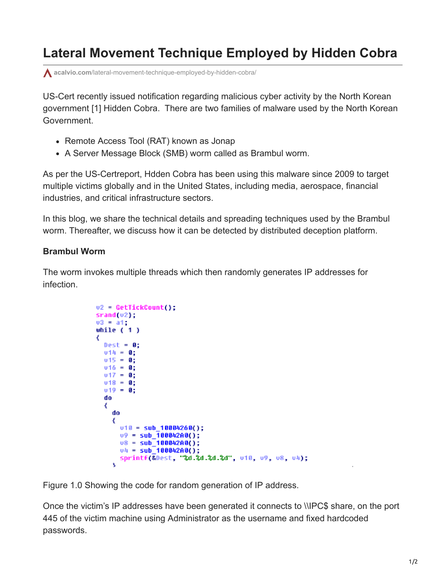## **Lateral Movement Technique Employed by Hidden Cobra**

**acalvio.com**[/lateral-movement-technique-employed-by-hidden-cobra/](https://www.acalvio.com/lateral-movement-technique-employed-by-hidden-cobra/)

US-Cert recently issued notification regarding malicious cyber activity by the North Korean government [1] Hidden Cobra. There are two families of malware used by the North Korean Government.

- Remote Access Tool (RAT) known as Jonap
- A Server Message Block (SMB) worm called as Brambul worm.

As per the US-Certreport, Hdden Cobra has been using this malware since 2009 to target multiple victims globally and in the United States, including media, aerospace, financial industries, and critical infrastructure sectors.

In this blog, we share the technical details and spreading techniques used by the Brambul worm. Thereafter, we discuss how it can be detected by distributed deception platform.

## **Brambul Worm**

The worm invokes multiple threads which then randomly generates IP addresses for infection.

```
v2 = GetTickCount();
srand(v2);
03 = a1;while (1)best = 0:014 = 0;
 015 = 0;v16 = 0;
  v17 = 0;
  v18 = 0;
  v19 = 0:
  do
  ₹
    do
    ₹
     v10 = sub_10004260();
     09 = sub_10004200();08 = sub_10004200();
     04 = Sub_10004200();
     sprintf(&Dest, "%d.%d.%d.%d", v10, v9, v8, v4);
    x
```
Figure 1.0 Showing the code for random generation of IP address.

Once the victim's IP addresses have been generated it connects to \\IPC\$ share, on the port 445 of the victim machine using Administrator as the username and fixed hardcoded passwords.